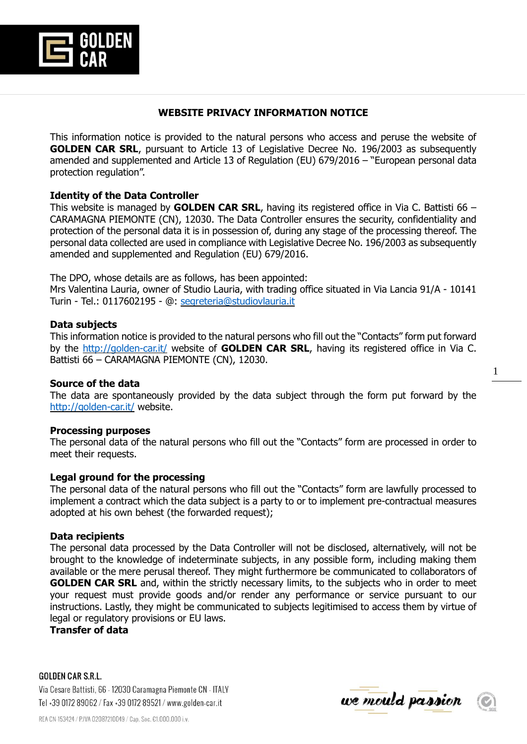

## **WEBSITE PRIVACY INFORMATION NOTICE**

This information notice is provided to the natural persons who access and peruse the website of **GOLDEN CAR SRL**, pursuant to Article 13 of Legislative Decree No. 196/2003 as subsequently amended and supplemented and Article 13 of Regulation (EU) 679/2016 – "European personal data protection regulation".

# **Identity of the Data Controller**

This website is managed by **GOLDEN CAR SRL**, having its registered office in Via C. Battisti 66 – CARAMAGNA PIEMONTE (CN), 12030. The Data Controller ensures the security, confidentiality and protection of the personal data it is in possession of, during any stage of the processing thereof. The personal data collected are used in compliance with Legislative Decree No. 196/2003 as subsequently amended and supplemented and Regulation (EU) 679/2016.

The DPO, whose details are as follows, has been appointed:

Mrs Valentina Lauria, owner of Studio Lauria, with trading office situated in Via Lancia 91/A - 10141 Turin - Tel.: 0117602195 - @: [segreteria@studiovlauria.it](mailto:segreteria@studiovlauria.it)

## **Data subjects**

This information notice is provided to the natural persons who fill out the "Contacts" form put forward by the<http://golden-car.it/> website of **GOLDEN CAR SRL**, having its registered office in Via C. Battisti 66 – CARAMAGNA PIEMONTE (CN), 12030.

## **Source of the data**

The data are spontaneously provided by the data subject through the form put forward by the <http://golden-car.it/> website.

### **Processing purposes**

The personal data of the natural persons who fill out the "Contacts" form are processed in order to meet their requests.

## **Legal ground for the processing**

The personal data of the natural persons who fill out the "Contacts" form are lawfully processed to implement a contract which the data subject is a party to or to implement pre-contractual measures adopted at his own behest (the forwarded request);

### **Data recipients**

The personal data processed by the Data Controller will not be disclosed, alternatively, will not be brought to the knowledge of indeterminate subjects, in any possible form, including making them available or the mere perusal thereof. They might furthermore be communicated to collaborators of **GOLDEN CAR SRL** and, within the strictly necessary limits, to the subjects who in order to meet your request must provide goods and/or render any performance or service pursuant to our instructions. Lastly, they might be communicated to subjects legitimised to access them by virtue of legal or regulatory provisions or EU laws.

**Transfer of data**

**GOLDEN CAR S.R.L.** Via Cesare Battisti, 66 - 12030 Caramagna Piemonte CN - ITALY Tel +39 0172 89062 / Fax +39 0172 89521 / www.golden-car.it